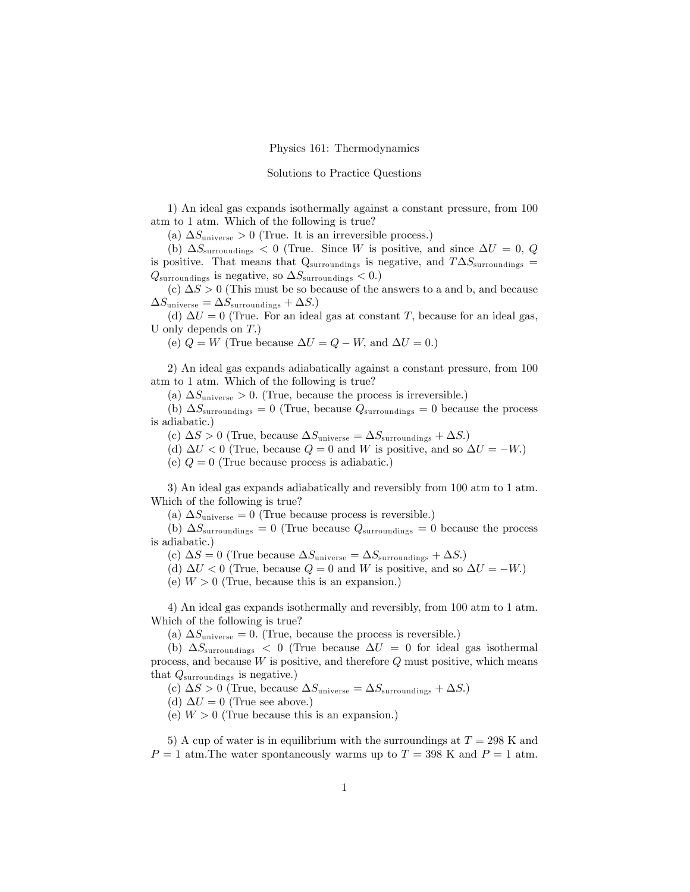## Physics 161: Thermodynamics

## Solutions to Practice Questions

1) An ideal gas expands isothermally against a constant pressure, from 100 atm to 1 atm. Which of the following is true?

(a)  $\Delta S_{\text{universe}} > 0$  (True. It is an irreversible process.)

(b)  $\Delta S_{\text{surroundings}} < 0$  (True. Since W is positive, and since  $\Delta U = 0$ , Q is positive. That means that  $Q_{surroundings}$  is negative, and  $T\Delta S_{surroundings}$  =  $Q_{\text{surroundings}}$  is negative, so  $\Delta S_{\text{surroundings}} < 0.$ )

(c)  $\Delta S > 0$  (This must be so because of the answers to a and b, and because  $\Delta S_{\text{universe}} = \Delta S_{\text{surroundings}} + \Delta S.$ 

(d)  $\Delta U = 0$  (True. For an ideal gas at constant T, because for an ideal gas, U only depends on  $T$ .)

(e)  $Q = W$  (True because  $\Delta U = Q - W$ , and  $\Delta U = 0$ .)

2) An ideal gas expands adiabatically against a constant pressure, from 100 atm to 1 atm. Which of the following is true?

(a)  $\Delta S_{\text{universe}} > 0$ . (True, because the process is irreversible.)

(b)  $\Delta S_{\text{surroundings}} = 0$  (True, because  $Q_{\text{surroundings}} = 0$  because the process is adiabatic.)

(c)  $\Delta S > 0$  (True, because  $\Delta S_{\text{universe}} = \Delta S_{\text{surroundings}} + \Delta S$ .)

(d)  $\Delta U < 0$  (True, because  $Q = 0$  and W is positive, and so  $\Delta U = -W$ .)

(e)  $Q = 0$  (True because process is adiabatic.)

3) An ideal gas expands adiabatically and reversibly from 100 atm to 1 atm. Which of the following is true?

(a)  $\Delta S_{\text{universe}} = 0$  (True because process is reversible.)

(b)  $\Delta S_{\text{surroundings}} = 0$  (True because  $Q_{\text{surroundings}} = 0$  because the process is adiabatic.)

(c)  $\Delta S = 0$  (True because  $\Delta S_{\text{universe}} = \Delta S_{\text{surroundings}} + \Delta S$ .)

(d)  $\Delta U < 0$  (True, because  $Q = 0$  and W is positive, and so  $\Delta U = -W$ .)

(e)  $W > 0$  (True, because this is an expansion.)

4) An ideal gas expands isothermally and reversibly, from 100 atm to 1 atm. Which of the following is true?

(a)  $\Delta S_{\text{universe}} = 0$ . (True, because the process is reversible.)

(b)  $\Delta S_{\text{surroundings}} < 0$  (True because  $\Delta U = 0$  for ideal gas isothermal process, and because  $W$  is positive, and therefore  $Q$  must positive, which means that  $Q_{\text{surroundings}}$  is negative.)

(c)  $\Delta S > 0$  (True, because  $\Delta S_{\text{universe}} = \Delta S_{\text{surroundings}} + \Delta S$ .)

(d)  $\Delta U = 0$  (True see above.)

(e)  $W > 0$  (True because this is an expansion.)

5) A cup of water is in equilibrium with the surroundings at  $T = 298$  K and  $P = 1$  atm. The water spontaneously warms up to  $T = 398$  K and  $P = 1$  atm.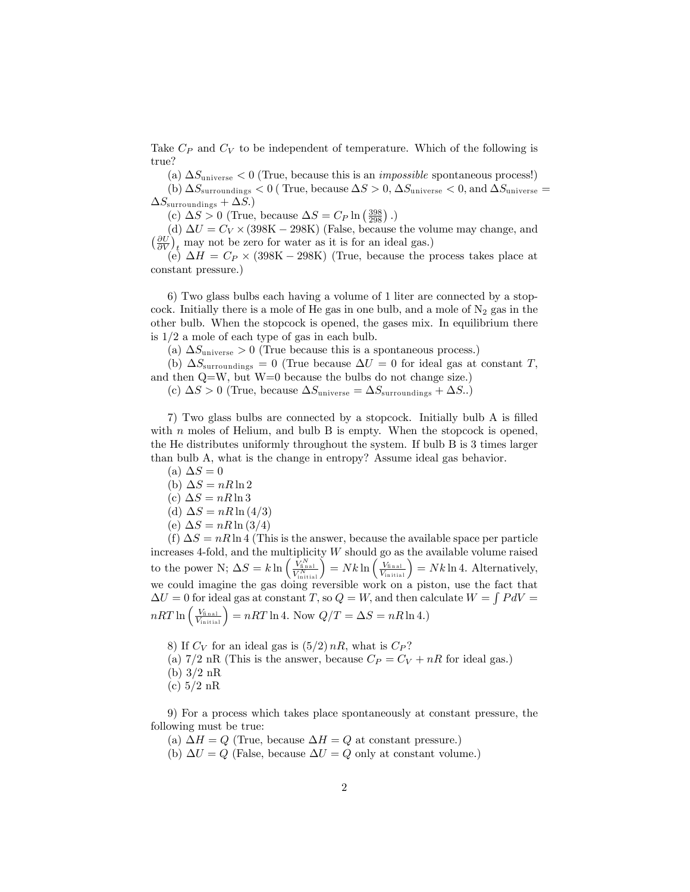Take  $C_P$  and  $C_V$  to be independent of temperature. Which of the following is true?

(a)  $\Delta S_{\text{universe}} < 0$  (True, because this is an *impossible* spontaneous process!)

(b)  $\Delta S_{\text{surroundings}} < 0$  (True, because  $\Delta S > 0$ ,  $\Delta S_{\text{universe}} < 0$ , and  $\Delta S_{\text{universe}} =$  $\Delta S_{\rm surroundings} + \Delta S.$ 

(c)  $\Delta S > 0$  (True, because  $\Delta S = C_P \ln \left( \frac{398}{298} \right)$ .)

(d)  $\Delta U = C_V \times (398 \text{K} - 298 \text{K})$  (False, because the volume may change, and  $\left(\frac{\partial U}{\partial V}\right)_t$  may not be zero for water as it is for an ideal gas.)

(e)  $\Delta H = C_P \times (398\text{K} - 298\text{K})$  (True, because the process takes place at constant pressure.)

6) Two glass bulbs each having a volume of 1 liter are connected by a stopcock. Initially there is a mole of He gas in one bulb, and a mole of  $N_2$  gas in the other bulb. When the stopcock is opened, the gases mix. In equilibrium there is 1/2 a mole of each type of gas in each bulb.

(a)  $\Delta S_{\text{universe}} > 0$  (True because this is a spontaneous process.)

(b)  $\Delta S_{\text{surroundings}} = 0$  (True because  $\Delta U = 0$  for ideal gas at constant T, and then Q=W, but W=0 because the bulbs do not change size.)

(c)  $\Delta S > 0$  (True, because  $\Delta S_{\text{universe}} = \Delta S_{\text{surroundings}} + \Delta S$ ..)

7) Two glass bulbs are connected by a stopcock. Initially bulb A is filled with  $n$  moles of Helium, and bulb B is empty. When the stopcock is opened, the He distributes uniformly throughout the system. If bulb B is 3 times larger than bulb A, what is the change in entropy? Assume ideal gas behavior.

- (a)  $\Delta S = 0$
- (b)  $\Delta S = nR \ln 2$
- (c)  $\Delta S = nR \ln 3$
- (d)  $\Delta S = nR \ln(4/3)$
- (e)  $\Delta S = nR \ln(3/4)$

(f)  $\Delta S = nR \ln 4$  (This is the answer, because the available space per particle increases 4-fold, and the multiplicity  $W$  should go as the available volume raised to the power N;  $\Delta S = k \ln \left( \frac{\tilde{V}_{\text{final}}^N}{V_{\text{initial}}^N} \right) = Nk \ln \left( \frac{V_{\text{final}}}{V_{\text{initial}}} \right) = Nk \ln 4.$  Alternatively, we could imagine the gas doing reversible work on a piston, use the fact that  $\Delta U = 0$  for ideal gas at constant T, so  $Q = W$ , and then calculate  $W = \int P dV$  $nRT\ln\left(\frac{V_{\text{final}}}{V_{\text{initial}}}\right) = nRT\ln 4.$  Now  $Q/T = \Delta S = nR\ln 4.$ )

8) If  $C_V$  for an ideal gas is  $(5/2)$  nR, what is  $C_P$ ?

- (a)  $7/2$  nR (This is the answer, because  $C_P = C_V + nR$  for ideal gas.)
- (b) 3/2 nR
- (c) 5/2 nR

9) For a process which takes place spontaneously at constant pressure, the following must be true:

- (a)  $\Delta H = Q$  (True, because  $\Delta H = Q$  at constant pressure.)
- (b)  $\Delta U = Q$  (False, because  $\Delta U = Q$  only at constant volume.)